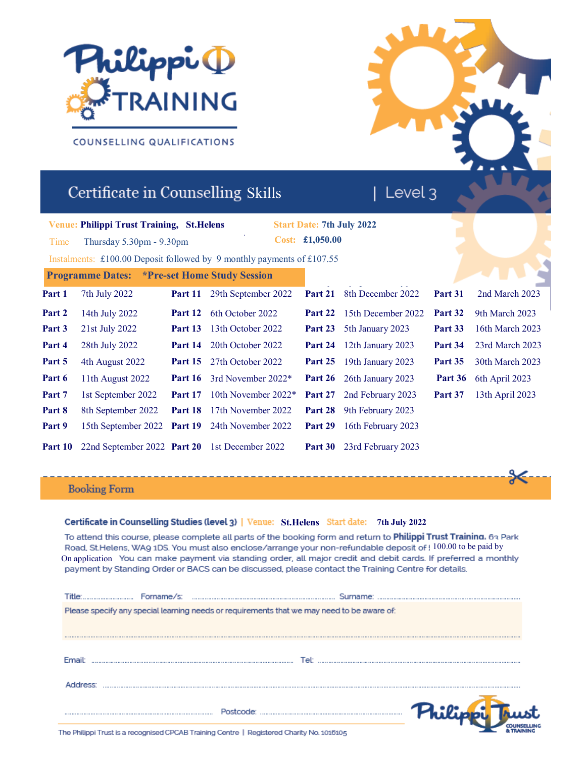

# COUNSELLING QUALIFICATIONS

# Certificate in Counselling Skills

# **Venue: Philippi Trust Training, St.Helens**

Time Thursday 5.30pm - 9.30pm

**Philippi Trust Training, 419 Lord Street , Southport, PR9 0AG Start Date: 7th July 2022 Cost: £1,050.00**

| Level 3

**3rd June 2019**  $\frac{1}{\sqrt{2}}$ Instalments: £100.00 Deposit followed by 9 monthly payments of £107.55

|        | <b>Programme Dates:</b> *Pre-set Home Study Session                 |         |                                                        |         |                                   |                |                               |
|--------|---------------------------------------------------------------------|---------|--------------------------------------------------------|---------|-----------------------------------|----------------|-------------------------------|
| Part 1 | 7th July 2022                                                       | Part 11 | 29th September 2022                                    |         | <b>Part 21</b> 8th December 2022  | Part 31        | 2nd March 2023                |
| Part 2 | 14th July 2022                                                      |         | <b>Part 12</b> 6th October 2022                        |         | <b>Part 22</b> 15th December 2022 | <b>Part 32</b> | 9th March 2023                |
| Part 3 | 21st July 2022                                                      |         | <b>Part 13</b> 13th October 2022                       |         | <b>Part 23</b> 5th January 2023   | Part 33        | 16th March 2023               |
| Part 4 | 28th July 2022                                                      |         | <b>Part 14</b> 20th October 2022                       |         | <b>Part 24</b> 12th January 2023  | Part 34        | 23rd March 2023               |
| Part 5 | 4th August 2022                                                     |         | <b>Part 15</b> 27th October 2022                       |         | <b>Part 25</b> 19th January 2023  | <b>Part 35</b> | 30th March 2023               |
| Part 6 | 11th August 2022                                                    |         | <b>Part 16</b> 3rd November 2022*                      |         | <b>Part 26</b> 26th January 2023  |                | <b>Part 36</b> 6th April 2023 |
| Part 7 | 1st September 2022                                                  |         | <b>Part 17</b> 10th November $2022*$                   |         | <b>Part 27</b> 2nd February 2023  | Part 37        | 13th April 2023               |
| Part 8 | 8th September 2022                                                  |         | <b>Part 18</b> 17th November 2022                      |         | <b>Part 28</b> 9th February 2023  |                |                               |
| Part 9 |                                                                     |         | 15th September 2022 Part 19 24th November 2022 Part 29 |         | 16th February 2023                |                |                               |
|        | <b>Part 10</b> 22nd September 2022 <b>Part 20</b> 1st December 2022 |         |                                                        | Part 30 | 23rd February 2023                |                |                               |

# **Booking Form**

## **7th July 2022 St.Helens**

To attend this course, please complete all parts of the booking form and return to Philippi Trust Training. 63 Park Road. St.Helens, WA9 1DS. You must also enclose/arrange your non-refundable deposit of : 100.00 to be paid by On application You can make payment via standing order, all major credit and debit cards. If preferred a monthly payment by Standing Order or BACS can be discussed, please contact the Training Centre for details.

|               | Please specify any special learning needs or requirements that we may need to be aware of: |  |
|---------------|--------------------------------------------------------------------------------------------|--|
|               |                                                                                            |  |
| <b>Fmail:</b> | Tel:                                                                                       |  |
|               |                                                                                            |  |
|               |                                                                                            |  |

The Philippi Trust is a recognised CPCAB Training Centre | Registered Charity No. 1016105